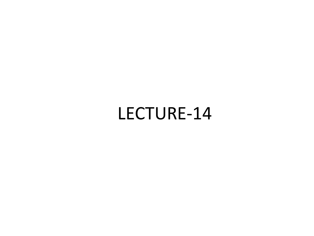LECTURE-14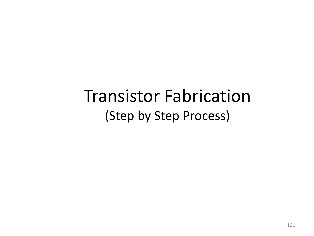# Transistor Fabrication (Step by Step Process)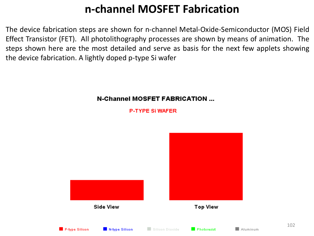### **n-channel MOSFET Fabrication**

The device fabrication steps are shown for n-channel Metal-Oxide-Semiconductor (MOS) Field Effect Transistor (FET). All photolithography processes are shown by means of animation. The steps shown here are the most detailed and serve as basis for the next few applets showing the device fabrication. A lightly doped p-type Si wafer

#### **N-Channel MOSFET FABRICATION ...**

**P-TYPE SI WAFER** 

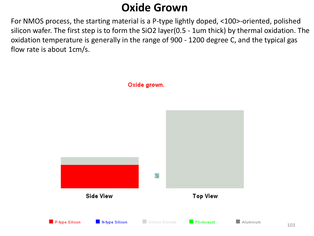#### **Oxide Grown**

For NMOS process, the starting material is a P-type lightly doped, <100>-oriented, polished silicon wafer. The first step is to form the SiO2 layer(0.5 - 1um thick) by thermal oxidation. The oxidation temperature is generally in the range of 900 - 1200 degree C, and the typical gas flow rate is about 1cm/s.

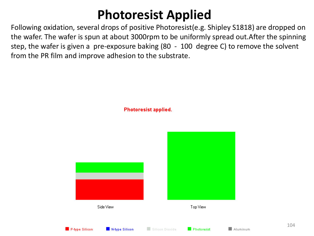## **Photoresist Applied**

Following oxidation, several drops of positive Photoresist(e.g. Shipley S1818) are dropped on the wafer. The wafer is spun at about 3000rpm to be uniformly spread out.After the spinning step, the wafer is given a pre-exposure baking (80 - 100 degree C) to remove the solvent from the PR film and improve adhesion to the substrate.



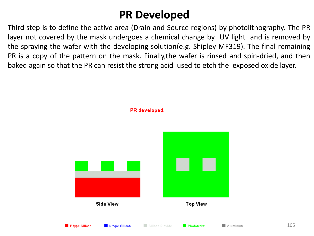#### **PR Developed**

Third step is to define the active area (Drain and Source regions) by photolithography. The PR layer not covered by the mask undergoes a chemical change by UV light and is removed by the spraying the wafer with the developing solution(e.g. Shipley MF319). The final remaining PR is a copy of the pattern on the mask. Finally,the wafer is rinsed and spin-dried, and then baked again so that the PR can resist the strong acid used to etch the exposed oxide layer.



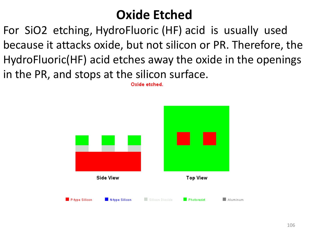## **Oxide Etched**

For SiO2 etching, HydroFluoric (HF) acid is usually used because it attacks oxide, but not silicon or PR. Therefore, the HydroFluoric(HF) acid etches away the oxide in the openings in the PR, and stops at the silicon surface.

Oxide etched.

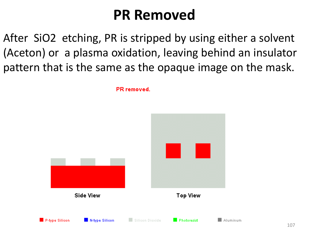## **PR Removed**

After SiO2 etching, PR is stripped by using either a solvent (Aceton) or a plasma oxidation, leaving behind an insulator pattern that is the same as the opaque image on the mask.

PR removed.

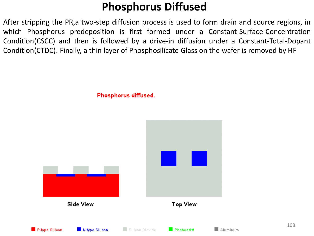#### **Phosphorus Diffused**

After stripping the PR,a two-step diffusion process is used to form drain and source regions, in which Phosphorus predeposition is first formed under a Constant-Surface-Concentration Condition(CSCC) and then is followed by a drive-in diffusion under a Constant-Total-Dopant Condition(CTDC). Finally, a thin layer of Phosphosilicate Glass on the wafer is removed by HF